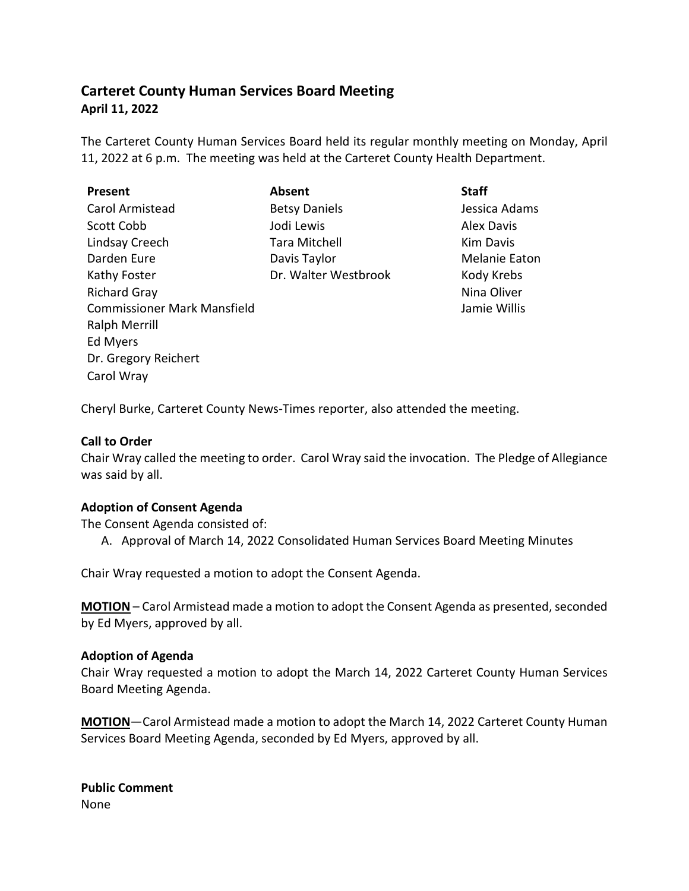# **Carteret County Human Services Board Meeting April 11, 2022**

The Carteret County Human Services Board held its regular monthly meeting on Monday, April 11, 2022 at 6 p.m. The meeting was held at the Carteret County Health Department.

| <b>Present</b>                     | Absent               | <b>Staff</b>         |
|------------------------------------|----------------------|----------------------|
| Carol Armistead                    | <b>Betsy Daniels</b> | Jessica Adams        |
| Scott Cobb                         | Jodi Lewis           | <b>Alex Davis</b>    |
| Lindsay Creech                     | <b>Tara Mitchell</b> | <b>Kim Davis</b>     |
| Darden Eure                        | Davis Taylor         | <b>Melanie Eator</b> |
| Kathy Foster                       | Dr. Walter Westbrook | Kody Krebs           |
| <b>Richard Gray</b>                |                      | Nina Oliver          |
| <b>Commissioner Mark Mansfield</b> |                      | Jamie Willis         |
| <b>Ralph Merrill</b>               |                      |                      |
| Ed Myers                           |                      |                      |
| Dr. Gregory Reichert               |                      |                      |
| Carol Wray                         |                      |                      |

Davis Davis anie Eaton a Oliver ie Willis

Cheryl Burke, Carteret County News-Times reporter, also attended the meeting.

# **Call to Order**

Chair Wray called the meeting to order. Carol Wray said the invocation. The Pledge of Allegiance was said by all.

## **Adoption of Consent Agenda**

The Consent Agenda consisted of:

A. Approval of March 14, 2022 Consolidated Human Services Board Meeting Minutes

Chair Wray requested a motion to adopt the Consent Agenda.

**MOTION** – Carol Armistead made a motion to adopt the Consent Agenda as presented, seconded by Ed Myers, approved by all.

## **Adoption of Agenda**

Chair Wray requested a motion to adopt the March 14, 2022 Carteret County Human Services Board Meeting Agenda.

**MOTION**—Carol Armistead made a motion to adopt the March 14, 2022 Carteret County Human Services Board Meeting Agenda, seconded by Ed Myers, approved by all.

**Public Comment** None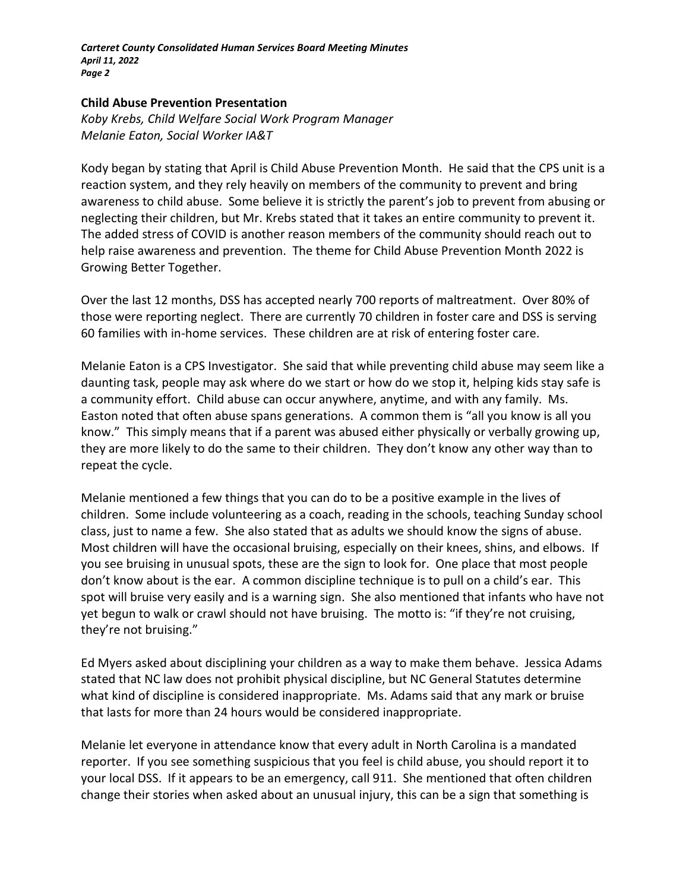#### **Child Abuse Prevention Presentation**

*Koby Krebs, Child Welfare Social Work Program Manager Melanie Eaton, Social Worker IA&T*

Kody began by stating that April is Child Abuse Prevention Month. He said that the CPS unit is a reaction system, and they rely heavily on members of the community to prevent and bring awareness to child abuse. Some believe it is strictly the parent's job to prevent from abusing or neglecting their children, but Mr. Krebs stated that it takes an entire community to prevent it. The added stress of COVID is another reason members of the community should reach out to help raise awareness and prevention. The theme for Child Abuse Prevention Month 2022 is Growing Better Together.

Over the last 12 months, DSS has accepted nearly 700 reports of maltreatment. Over 80% of those were reporting neglect. There are currently 70 children in foster care and DSS is serving 60 families with in-home services. These children are at risk of entering foster care.

Melanie Eaton is a CPS Investigator. She said that while preventing child abuse may seem like a daunting task, people may ask where do we start or how do we stop it, helping kids stay safe is a community effort. Child abuse can occur anywhere, anytime, and with any family. Ms. Easton noted that often abuse spans generations. A common them is "all you know is all you know." This simply means that if a parent was abused either physically or verbally growing up, they are more likely to do the same to their children. They don't know any other way than to repeat the cycle.

Melanie mentioned a few things that you can do to be a positive example in the lives of children. Some include volunteering as a coach, reading in the schools, teaching Sunday school class, just to name a few. She also stated that as adults we should know the signs of abuse. Most children will have the occasional bruising, especially on their knees, shins, and elbows. If you see bruising in unusual spots, these are the sign to look for. One place that most people don't know about is the ear. A common discipline technique is to pull on a child's ear. This spot will bruise very easily and is a warning sign. She also mentioned that infants who have not yet begun to walk or crawl should not have bruising. The motto is: "if they're not cruising, they're not bruising."

Ed Myers asked about disciplining your children as a way to make them behave. Jessica Adams stated that NC law does not prohibit physical discipline, but NC General Statutes determine what kind of discipline is considered inappropriate. Ms. Adams said that any mark or bruise that lasts for more than 24 hours would be considered inappropriate.

Melanie let everyone in attendance know that every adult in North Carolina is a mandated reporter. If you see something suspicious that you feel is child abuse, you should report it to your local DSS. If it appears to be an emergency, call 911. She mentioned that often children change their stories when asked about an unusual injury, this can be a sign that something is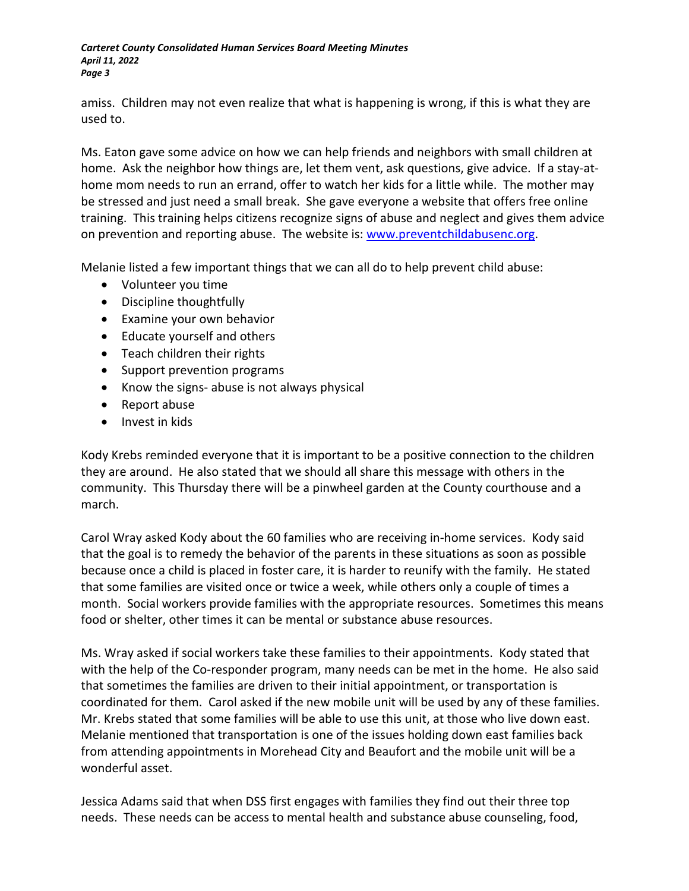amiss. Children may not even realize that what is happening is wrong, if this is what they are used to.

Ms. Eaton gave some advice on how we can help friends and neighbors with small children at home. Ask the neighbor how things are, let them vent, ask questions, give advice. If a stay-athome mom needs to run an errand, offer to watch her kids for a little while. The mother may be stressed and just need a small break. She gave everyone a website that offers free online training. This training helps citizens recognize signs of abuse and neglect and gives them advice on prevention and reporting abuse. The website is: [www.preventchildabusenc.org.](http://www.preventchildabusenc.org/)

Melanie listed a few important things that we can all do to help prevent child abuse:

- Volunteer you time
- Discipline thoughtfully
- Examine your own behavior
- Educate yourself and others
- Teach children their rights
- Support prevention programs
- Know the signs- abuse is not always physical
- Report abuse
- Invest in kids

Kody Krebs reminded everyone that it is important to be a positive connection to the children they are around. He also stated that we should all share this message with others in the community. This Thursday there will be a pinwheel garden at the County courthouse and a march.

Carol Wray asked Kody about the 60 families who are receiving in-home services. Kody said that the goal is to remedy the behavior of the parents in these situations as soon as possible because once a child is placed in foster care, it is harder to reunify with the family. He stated that some families are visited once or twice a week, while others only a couple of times a month. Social workers provide families with the appropriate resources. Sometimes this means food or shelter, other times it can be mental or substance abuse resources.

Ms. Wray asked if social workers take these families to their appointments. Kody stated that with the help of the Co-responder program, many needs can be met in the home. He also said that sometimes the families are driven to their initial appointment, or transportation is coordinated for them. Carol asked if the new mobile unit will be used by any of these families. Mr. Krebs stated that some families will be able to use this unit, at those who live down east. Melanie mentioned that transportation is one of the issues holding down east families back from attending appointments in Morehead City and Beaufort and the mobile unit will be a wonderful asset.

Jessica Adams said that when DSS first engages with families they find out their three top needs. These needs can be access to mental health and substance abuse counseling, food,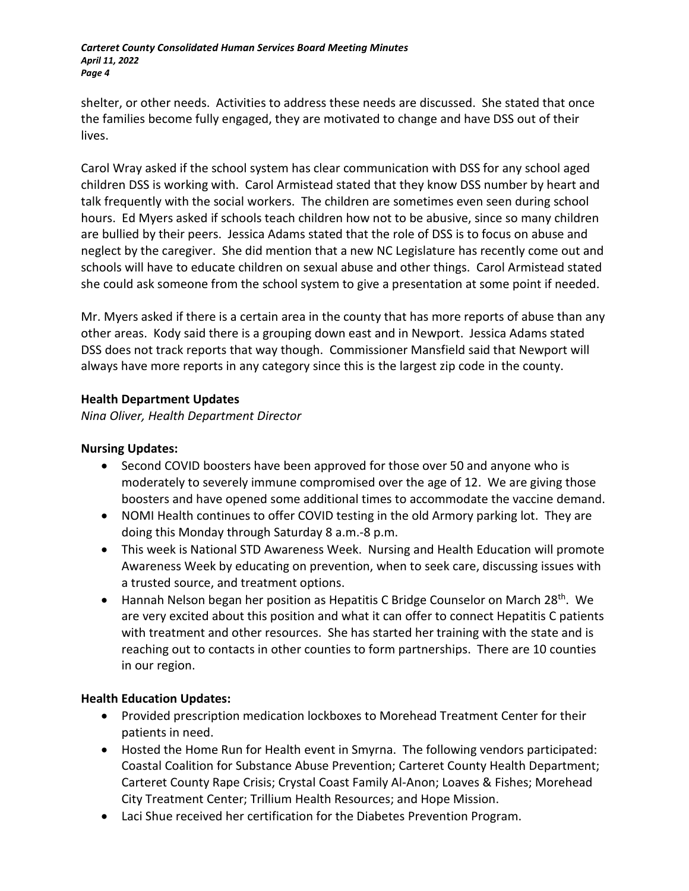shelter, or other needs. Activities to address these needs are discussed. She stated that once the families become fully engaged, they are motivated to change and have DSS out of their lives.

Carol Wray asked if the school system has clear communication with DSS for any school aged children DSS is working with. Carol Armistead stated that they know DSS number by heart and talk frequently with the social workers. The children are sometimes even seen during school hours. Ed Myers asked if schools teach children how not to be abusive, since so many children are bullied by their peers. Jessica Adams stated that the role of DSS is to focus on abuse and neglect by the caregiver. She did mention that a new NC Legislature has recently come out and schools will have to educate children on sexual abuse and other things. Carol Armistead stated she could ask someone from the school system to give a presentation at some point if needed.

Mr. Myers asked if there is a certain area in the county that has more reports of abuse than any other areas. Kody said there is a grouping down east and in Newport. Jessica Adams stated DSS does not track reports that way though. Commissioner Mansfield said that Newport will always have more reports in any category since this is the largest zip code in the county.

## **Health Department Updates**

*Nina Oliver, Health Department Director*

# **Nursing Updates:**

- Second COVID boosters have been approved for those over 50 and anyone who is moderately to severely immune compromised over the age of 12. We are giving those boosters and have opened some additional times to accommodate the vaccine demand.
- NOMI Health continues to offer COVID testing in the old Armory parking lot. They are doing this Monday through Saturday 8 a.m.-8 p.m.
- This week is National STD Awareness Week. Nursing and Health Education will promote Awareness Week by educating on prevention, when to seek care, discussing issues with a trusted source, and treatment options.
- Hannah Nelson began her position as Hepatitis C Bridge Counselor on March 28<sup>th</sup>. We are very excited about this position and what it can offer to connect Hepatitis C patients with treatment and other resources. She has started her training with the state and is reaching out to contacts in other counties to form partnerships. There are 10 counties in our region.

# **Health Education Updates:**

- Provided prescription medication lockboxes to Morehead Treatment Center for their patients in need.
- Hosted the Home Run for Health event in Smyrna. The following vendors participated: Coastal Coalition for Substance Abuse Prevention; Carteret County Health Department; Carteret County Rape Crisis; Crystal Coast Family Al-Anon; Loaves & Fishes; Morehead City Treatment Center; Trillium Health Resources; and Hope Mission.
- Laci Shue received her certification for the Diabetes Prevention Program.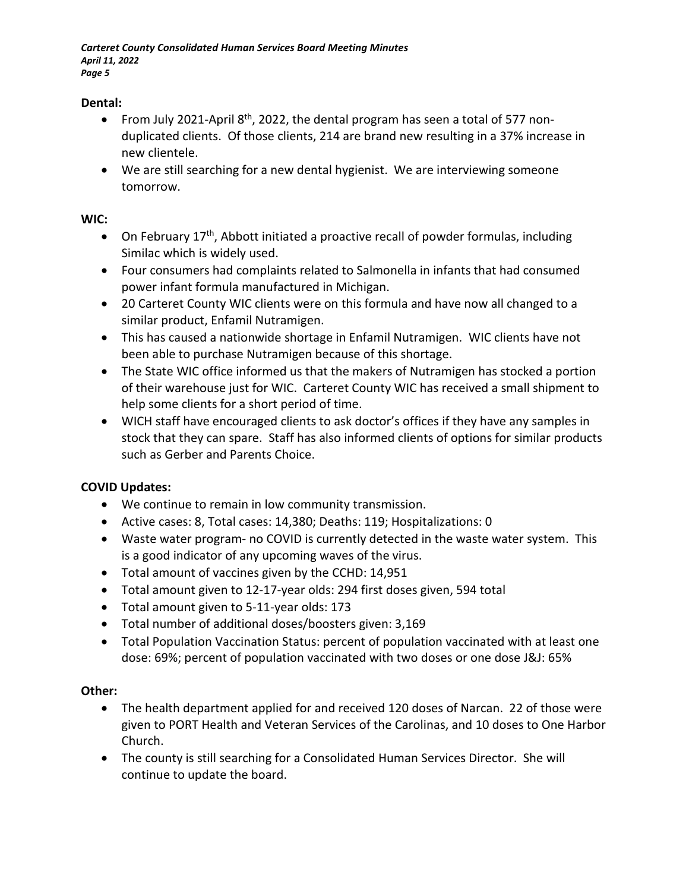## **Dental:**

- From July 2021-April  $8<sup>th</sup>$ , 2022, the dental program has seen a total of 577 nonduplicated clients. Of those clients, 214 are brand new resulting in a 37% increase in new clientele.
- We are still searching for a new dental hygienist. We are interviewing someone tomorrow.

# **WIC:**

- On February  $17<sup>th</sup>$ , Abbott initiated a proactive recall of powder formulas, including Similac which is widely used.
- Four consumers had complaints related to Salmonella in infants that had consumed power infant formula manufactured in Michigan.
- 20 Carteret County WIC clients were on this formula and have now all changed to a similar product, Enfamil Nutramigen.
- This has caused a nationwide shortage in Enfamil Nutramigen. WIC clients have not been able to purchase Nutramigen because of this shortage.
- The State WIC office informed us that the makers of Nutramigen has stocked a portion of their warehouse just for WIC. Carteret County WIC has received a small shipment to help some clients for a short period of time.
- WICH staff have encouraged clients to ask doctor's offices if they have any samples in stock that they can spare. Staff has also informed clients of options for similar products such as Gerber and Parents Choice.

# **COVID Updates:**

- We continue to remain in low community transmission.
- Active cases: 8, Total cases: 14,380; Deaths: 119; Hospitalizations: 0
- Waste water program- no COVID is currently detected in the waste water system. This is a good indicator of any upcoming waves of the virus.
- Total amount of vaccines given by the CCHD: 14,951
- Total amount given to 12-17-year olds: 294 first doses given, 594 total
- Total amount given to 5-11-year olds: 173
- Total number of additional doses/boosters given: 3,169
- Total Population Vaccination Status: percent of population vaccinated with at least one dose: 69%; percent of population vaccinated with two doses or one dose J&J: 65%

# **Other:**

- The health department applied for and received 120 doses of Narcan. 22 of those were given to PORT Health and Veteran Services of the Carolinas, and 10 doses to One Harbor Church.
- The county is still searching for a Consolidated Human Services Director. She will continue to update the board.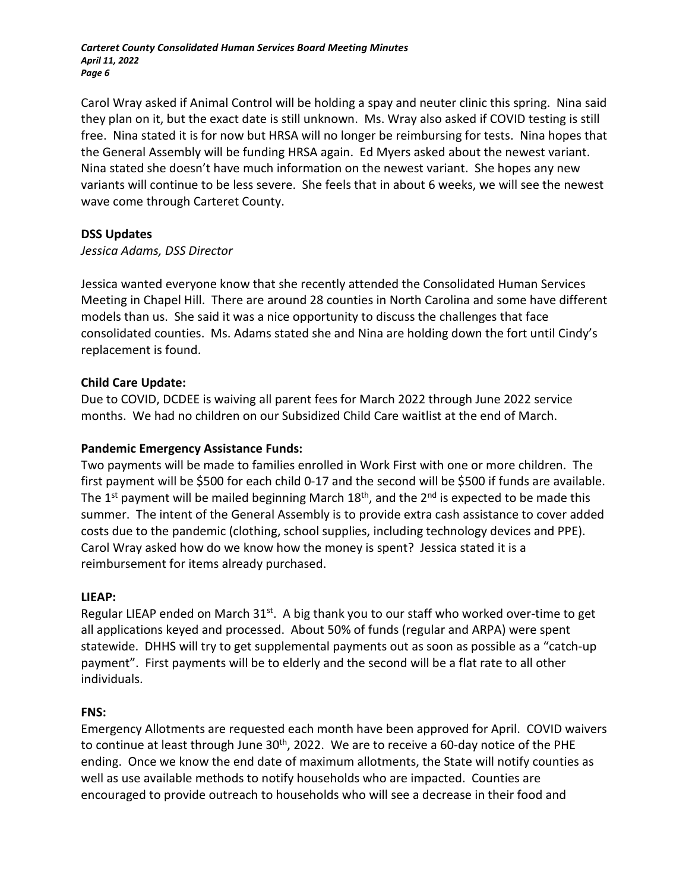Carol Wray asked if Animal Control will be holding a spay and neuter clinic this spring. Nina said they plan on it, but the exact date is still unknown. Ms. Wray also asked if COVID testing is still free. Nina stated it is for now but HRSA will no longer be reimbursing for tests. Nina hopes that the General Assembly will be funding HRSA again. Ed Myers asked about the newest variant. Nina stated she doesn't have much information on the newest variant. She hopes any new variants will continue to be less severe. She feels that in about 6 weeks, we will see the newest wave come through Carteret County.

## **DSS Updates**

## *Jessica Adams, DSS Director*

Jessica wanted everyone know that she recently attended the Consolidated Human Services Meeting in Chapel Hill. There are around 28 counties in North Carolina and some have different models than us. She said it was a nice opportunity to discuss the challenges that face consolidated counties. Ms. Adams stated she and Nina are holding down the fort until Cindy's replacement is found.

## **Child Care Update:**

Due to COVID, DCDEE is waiving all parent fees for March 2022 through June 2022 service months. We had no children on our Subsidized Child Care waitlist at the end of March.

# **Pandemic Emergency Assistance Funds:**

Two payments will be made to families enrolled in Work First with one or more children. The first payment will be \$500 for each child 0-17 and the second will be \$500 if funds are available. The 1<sup>st</sup> payment will be mailed beginning March 18<sup>th</sup>, and the 2<sup>nd</sup> is expected to be made this summer. The intent of the General Assembly is to provide extra cash assistance to cover added costs due to the pandemic (clothing, school supplies, including technology devices and PPE). Carol Wray asked how do we know how the money is spent? Jessica stated it is a reimbursement for items already purchased.

## **LIEAP:**

Regular LIEAP ended on March  $31^{st}$ . A big thank you to our staff who worked over-time to get all applications keyed and processed. About 50% of funds (regular and ARPA) were spent statewide. DHHS will try to get supplemental payments out as soon as possible as a "catch-up payment". First payments will be to elderly and the second will be a flat rate to all other individuals.

## **FNS:**

Emergency Allotments are requested each month have been approved for April. COVID waivers to continue at least through June  $30<sup>th</sup>$ , 2022. We are to receive a 60-day notice of the PHE ending. Once we know the end date of maximum allotments, the State will notify counties as well as use available methods to notify households who are impacted. Counties are encouraged to provide outreach to households who will see a decrease in their food and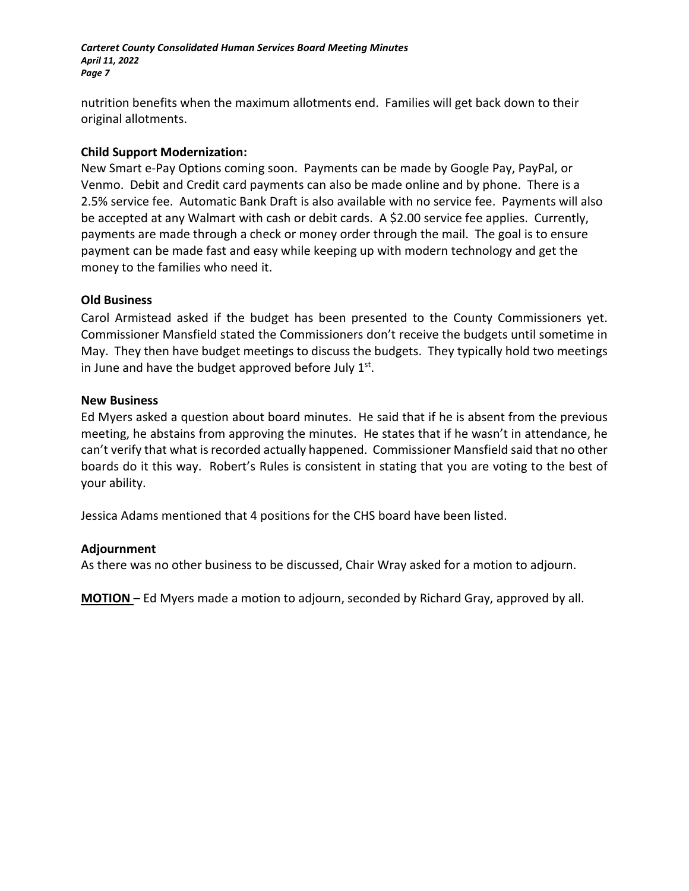nutrition benefits when the maximum allotments end. Families will get back down to their original allotments.

## **Child Support Modernization:**

New Smart e-Pay Options coming soon. Payments can be made by Google Pay, PayPal, or Venmo. Debit and Credit card payments can also be made online and by phone. There is a 2.5% service fee. Automatic Bank Draft is also available with no service fee. Payments will also be accepted at any Walmart with cash or debit cards. A \$2.00 service fee applies. Currently, payments are made through a check or money order through the mail. The goal is to ensure payment can be made fast and easy while keeping up with modern technology and get the money to the families who need it.

## **Old Business**

Carol Armistead asked if the budget has been presented to the County Commissioners yet. Commissioner Mansfield stated the Commissioners don't receive the budgets until sometime in May. They then have budget meetings to discuss the budgets. They typically hold two meetings in June and have the budget approved before July  $1<sup>st</sup>$ .

## **New Business**

Ed Myers asked a question about board minutes. He said that if he is absent from the previous meeting, he abstains from approving the minutes. He states that if he wasn't in attendance, he can't verify that what is recorded actually happened. Commissioner Mansfield said that no other boards do it this way. Robert's Rules is consistent in stating that you are voting to the best of your ability.

Jessica Adams mentioned that 4 positions for the CHS board have been listed.

## **Adjournment**

As there was no other business to be discussed, Chair Wray asked for a motion to adjourn.

**MOTION** – Ed Myers made a motion to adjourn, seconded by Richard Gray, approved by all.